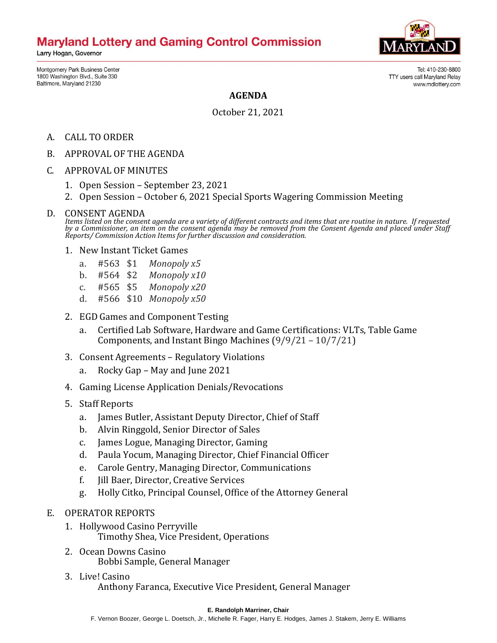## **Maryland Lottery and Gaming Control Commission**

Larry Hogan, Governor



TTY users call Maryland Relay

Tel: 410-230-8800

www.mdlottery.com

Montgomery Park Business Center 1800 Washington Blvd., Suite 330 Baltimore, Maryland 21230

**AGENDA**

October 21, 2021

- A. CALL TO ORDER
- B. APPROVAL OF THE AGENDA
- C. APPROVAL OF MINUTES
	- 1. Open Session September 23, 2021
	- 2. Open Session October 6, 2021 Special Sports Wagering Commission Meeting
- D. CONSENT AGENDA

*Items listed on the consent agenda are a variety of different contracts and items that are routine in nature. If requested by a Commissioner, an item on the consent agenda may be removed from the Consent Agenda and placed under Staff Reports/ Commission Action Items for further discussion and consideration.*

- 1. New Instant Ticket Games
	- a. #563 \$1 *Monopoly x5*
	- b. #564 \$2 *Monopoly x10*
	- c. #565 \$5 *Monopoly x20*
	- d. #566 \$10 *Monopoly x50*
- 2. EGD Games and Component Testing
	- a. Certified Lab Software, Hardware and Game Certifications: VLTs, Table Game Components, and Instant Bingo Machines (9/9/21 – 10/7/21)
- 3. Consent Agreements Regulatory Violations
	- a. Rocky Gap May and June 2021
- 4. Gaming License Application Denials/Revocations
- 5. Staff Reports
	- a. James Butler, Assistant Deputy Director, Chief of Staff
	- b. Alvin Ringgold, Senior Director of Sales
	- c. James Logue, Managing Director, Gaming
	- d. Paula Yocum, Managing Director, Chief Financial Officer
	- e. Carole Gentry, Managing Director, Communications
	- f. Jill Baer, Director, Creative Services
	- g. Holly Citko, Principal Counsel, Office of the Attorney General
- E. OPERATOR REPORTS
	- 1. Hollywood Casino Perryville Timothy Shea, Vice President, Operations
	- 2. Ocean Downs Casino Bobbi Sample, General Manager
	- 3. Live! Casino Anthony Faranca, Executive Vice President, General Manager

## **E. Randolph Marriner, Chair**